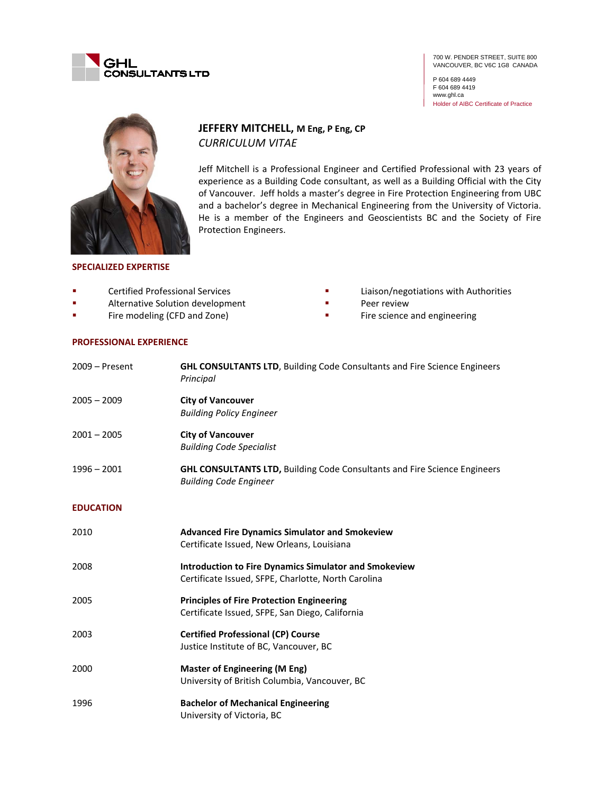

700 W. PENDER STREET, SUITE 800 VANCOUVER, BC V6C 1G8 CANADA

P 604 689 4449 F 604 689 4419 www.ghl.ca Holder of AIBC Certificate of Practice



# **JEFFERY MITCHELL, M Eng, P Eng, CP** *CURRICULUM VITAE*

Jeff Mitchell is a Professional Engineer and Certified Professional with 23 years of experience as a Building Code consultant, as well as a Building Official with the City of Vancouver. Jeff holds a master's degree in Fire Protection Engineering from UBC and a bachelor's degree in Mechanical Engineering from the University of Victoria. He is a member of the Engineers and Geoscientists BC and the Society of Fire Protection Engineers.

### **SPECIALIZED EXPERTISE**

- Certified Professional Services
- **Alternative Solution development**
- **Fire modeling (CFD and Zone)**
- **Peer review** Fire science and engineering

Liaison/negotiations with Authorities

### **PROFESSIONAL EXPERIENCE**

| $2009 -$ Present | <b>GHL CONSULTANTS LTD, Building Code Consultants and Fire Science Engineers</b><br>Principal                       |
|------------------|---------------------------------------------------------------------------------------------------------------------|
| $2005 - 2009$    | <b>City of Vancouver</b><br><b>Building Policy Engineer</b>                                                         |
| $2001 - 2005$    | <b>City of Vancouver</b><br><b>Building Code Specialist</b>                                                         |
| $1996 - 2001$    | <b>GHL CONSULTANTS LTD, Building Code Consultants and Fire Science Engineers</b><br><b>Building Code Engineer</b>   |
| <b>EDUCATION</b> |                                                                                                                     |
| 2010             | <b>Advanced Fire Dynamics Simulator and Smokeview</b><br>Certificate Issued, New Orleans, Louisiana                 |
| 2008             | <b>Introduction to Fire Dynamics Simulator and Smokeview</b><br>Certificate Issued, SFPE, Charlotte, North Carolina |
| 2005             | <b>Principles of Fire Protection Engineering</b><br>Certificate Issued, SFPE, San Diego, California                 |
| 2003             | <b>Certified Professional (CP) Course</b><br>Justice Institute of BC, Vancouver, BC                                 |
| 2000             | <b>Master of Engineering (M Eng)</b><br>University of British Columbia, Vancouver, BC                               |
| 1996             | <b>Bachelor of Mechanical Engineering</b><br>University of Victoria, BC                                             |